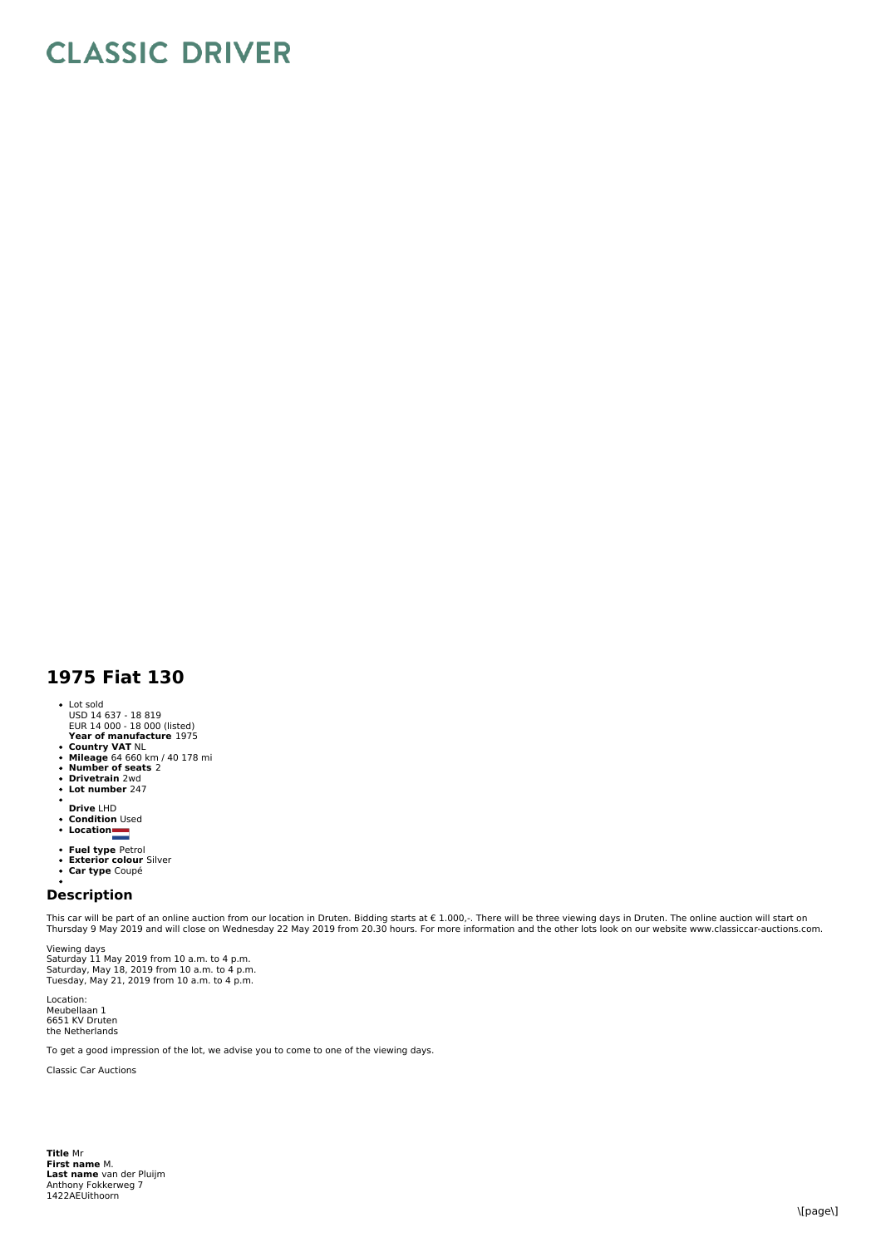## **CLASSIC DRIVER**

## **1975 Fiat 130**

- Lot sold USD 14 637 18 819
- **Year of manufacture** 1975 EUR 14 000 18 000 (listed)
- **Country VAT** NL **Mileage** 64 660 km / 40 178 mi
- 
- **Number of seats** 2 **Drivetrain** 2wd
- $\ddot{\phantom{0}}$ **Lot number** 247
- $\bullet$ **Drive** LHD
- 
- **Condition** Used **Location**
- 
- **Fuel type** Petrol<br>**Exterior colour** Silver<br>**Car type** Coupé
- 
- 

## **Description**

This car will be part of an online auction from our location in Druten. Bidding starts at € 1.000,-. There will be three viewing days in Druten. The online auction will start on Thursday 9 May 2019 and will close on Wednesday 22 May 2019 from 20.30 hours. For more information and the other lots look on our website www.classiccar-auctions.com.

Viewing days Saturday 11 May 2019 from 10 a.m. to 4 p.m.<br>Saturday, May 18, 2019 from 10 a.m. to 4 p.m.<br>Tuesday, May 21, 2019 from 10 a.m. to 4 p.m.

Location: Meubellaan 1 6651 KV Druten the Netherlands

To get a good impression of the lot, we advise you to come to one of the viewing days.

Classic Car Auctions

**Title** Mr **First name** M. **Last name** van der Pluijm Anthony Fokkerweg 7 1422AEUithoorn